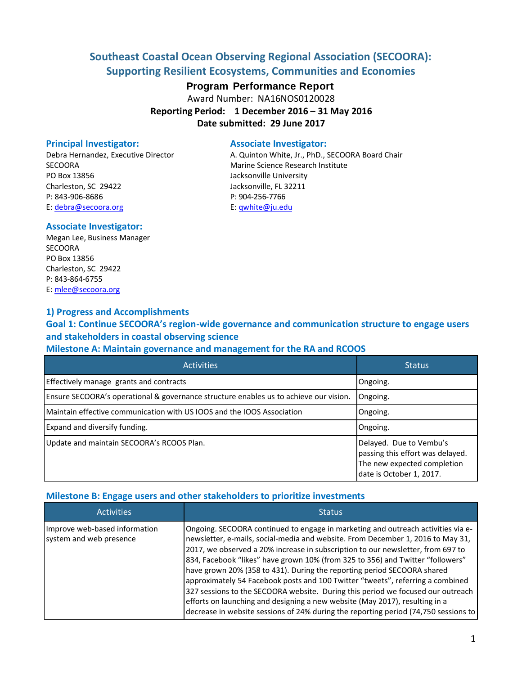# **Southeast Coastal Ocean Observing Regional Association (SECOORA): Supporting Resilient Ecosystems, Communities and Economies**

## **Program Performance Report**

Award Number: NA16NOS0120028 **Reporting Period: 1 December 2016 – 31 May 2016 Date submitted: 29 June 2017**

SECOORA Marine Science Research Institute PO Box 13856 **PO Box 13856** Jacksonville University Charleston, SC 29422 Jacksonville, FL 32211 P: 843-906-8686 P: 904-256-7766 E: [debra@secoora.org](mailto:debra@secoora.org) example and E: [qwhite@ju.edu](mailto:qwhite@ju.edu)

#### **Principal Investigator:** Associate Investigator:

Debra Hernandez, Executive Director **A. Quinton White, Jr., PhD., SECOORA Board Chair** 

### **Associate Investigator:**

Megan Lee, Business Manager **SECOORA** PO Box 13856 Charleston, SC 29422 P: 843-864-6755 E[: mlee@secoora.org](mailto:mlee@secoora.org)

### **1) Progress and Accomplishments**

**Goal 1: Continue SECOORA's region-wide governance and communication structure to engage users and stakeholders in coastal observing science**

## **Milestone A: Maintain governance and management for the RA and RCOOS**

| <b>Activities</b>                                                                     | <b>Status</b>                                                                                                          |
|---------------------------------------------------------------------------------------|------------------------------------------------------------------------------------------------------------------------|
| Effectively manage grants and contracts                                               | Ongoing.                                                                                                               |
| Ensure SECOORA's operational & governance structure enables us to achieve our vision. | Ongoing.                                                                                                               |
| Maintain effective communication with US IOOS and the IOOS Association                | Ongoing.                                                                                                               |
| Expand and diversify funding.                                                         | Ongoing.                                                                                                               |
| Update and maintain SECOORA's RCOOS Plan.                                             | Delayed. Due to Vembu's<br>passing this effort was delayed.<br>The new expected completion<br>date is October 1, 2017. |

## **Milestone B: Engage users and other stakeholders to prioritize investments**

| <b>Activities</b>                                        | <b>Status</b>                                                                                                                                                                                                                                                                                                                                                                                                                                                                                                                                                                                                                                                                                                                                                  |
|----------------------------------------------------------|----------------------------------------------------------------------------------------------------------------------------------------------------------------------------------------------------------------------------------------------------------------------------------------------------------------------------------------------------------------------------------------------------------------------------------------------------------------------------------------------------------------------------------------------------------------------------------------------------------------------------------------------------------------------------------------------------------------------------------------------------------------|
| Improve web-based information<br>system and web presence | Ongoing. SECOORA continued to engage in marketing and outreach activities via e-<br>newsletter, e-mails, social-media and website. From December 1, 2016 to May 31,<br>2017, we observed a 20% increase in subscription to our newsletter, from 697 to<br>834, Facebook "likes" have grown 10% (from 325 to 356) and Twitter "followers"<br>have grown 20% (358 to 431). During the reporting period SECOORA shared<br>approximately 54 Facebook posts and 100 Twitter "tweets", referring a combined<br>327 sessions to the SECOORA website. During this period we focused our outreach<br>efforts on launching and designing a new website (May 2017), resulting in a<br>decrease in website sessions of 24% during the reporting period (74,750 sessions to |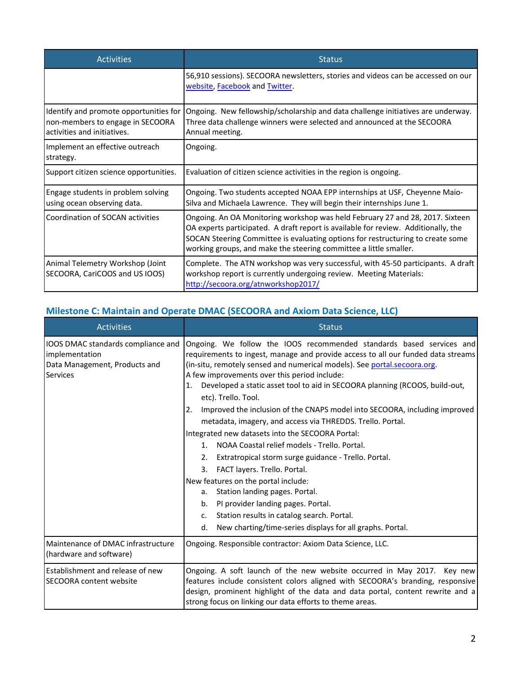| <b>Activities</b>                                                                                         | <b>Status</b>                                                                                                                                                                                                                                                                                                               |
|-----------------------------------------------------------------------------------------------------------|-----------------------------------------------------------------------------------------------------------------------------------------------------------------------------------------------------------------------------------------------------------------------------------------------------------------------------|
|                                                                                                           | 56,910 sessions). SECOORA newsletters, stories and videos can be accessed on our<br>website, Facebook and Twitter.                                                                                                                                                                                                          |
| Identify and promote opportunities for<br>non-members to engage in SECOORA<br>activities and initiatives. | Ongoing. New fellowship/scholarship and data challenge initiatives are underway.<br>Three data challenge winners were selected and announced at the SECOORA<br>Annual meeting.                                                                                                                                              |
| Implement an effective outreach<br>strategy.                                                              | Ongoing.                                                                                                                                                                                                                                                                                                                    |
| Support citizen science opportunities.                                                                    | Evaluation of citizen science activities in the region is ongoing.                                                                                                                                                                                                                                                          |
| Engage students in problem solving<br>using ocean observing data.                                         | Ongoing. Two students accepted NOAA EPP internships at USF, Cheyenne Maio-<br>Silva and Michaela Lawrence. They will begin their internships June 1.                                                                                                                                                                        |
| Coordination of SOCAN activities                                                                          | Ongoing. An OA Monitoring workshop was held February 27 and 28, 2017. Sixteen<br>OA experts participated. A draft report is available for review. Additionally, the<br>SOCAN Steering Committee is evaluating options for restructuring to create some<br>working groups, and make the steering committee a little smaller. |
| Animal Telemetry Workshop (Joint<br>SECOORA, CariCOOS and US IOOS)                                        | Complete. The ATN workshop was very successful, with 45-50 participants. A draft<br>workshop report is currently undergoing review. Meeting Materials:<br>http://secoora.org/atnworkshop2017/                                                                                                                               |

# **Milestone C: Maintain and Operate DMAC (SECOORA and Axiom Data Science, LLC)**

| <b>Activities</b>                                                                                 | <b>Status</b>                                                                                                                                                                                                                                                                                                                                                                                                                                                                                                                                                                                                                                                                                                                                                                                                                                                                                                                                                                                                         |
|---------------------------------------------------------------------------------------------------|-----------------------------------------------------------------------------------------------------------------------------------------------------------------------------------------------------------------------------------------------------------------------------------------------------------------------------------------------------------------------------------------------------------------------------------------------------------------------------------------------------------------------------------------------------------------------------------------------------------------------------------------------------------------------------------------------------------------------------------------------------------------------------------------------------------------------------------------------------------------------------------------------------------------------------------------------------------------------------------------------------------------------|
| IOOS DMAC standards compliance and<br>implementation<br>Data Management, Products and<br>Services | Ongoing. We follow the IOOS recommended standards based services and<br>requirements to ingest, manage and provide access to all our funded data streams<br>(in-situ, remotely sensed and numerical models). See portal secoora org.<br>A few improvements over this period include:<br>Developed a static asset tool to aid in SECOORA planning (RCOOS, build-out,<br>etc). Trello. Tool.<br>Improved the inclusion of the CNAPS model into SECOORA, including improved<br>2.<br>metadata, imagery, and access via THREDDS. Trello. Portal.<br>Integrated new datasets into the SECOORA Portal:<br>1. NOAA Coastal relief models - Trello. Portal.<br>Extratropical storm surge guidance - Trello. Portal.<br>2.<br>FACT layers. Trello. Portal.<br>3.<br>New features on the portal include:<br>Station landing pages. Portal.<br>a.<br>PI provider landing pages. Portal.<br>b.<br>Station results in catalog search. Portal.<br>$\mathsf{C}$ .<br>New charting/time-series displays for all graphs. Portal.<br>d. |
| Maintenance of DMAC infrastructure<br>(hardware and software)                                     | Ongoing. Responsible contractor: Axiom Data Science, LLC.                                                                                                                                                                                                                                                                                                                                                                                                                                                                                                                                                                                                                                                                                                                                                                                                                                                                                                                                                             |
| <b>Establishment and release of new</b><br>ISECOORA content website                               | Ongoing. A soft launch of the new website occurred in May 2017. Key new<br>features include consistent colors aligned with SECOORA's branding, responsive<br>design, prominent highlight of the data and data portal, content rewrite and a<br>strong focus on linking our data efforts to theme areas.                                                                                                                                                                                                                                                                                                                                                                                                                                                                                                                                                                                                                                                                                                               |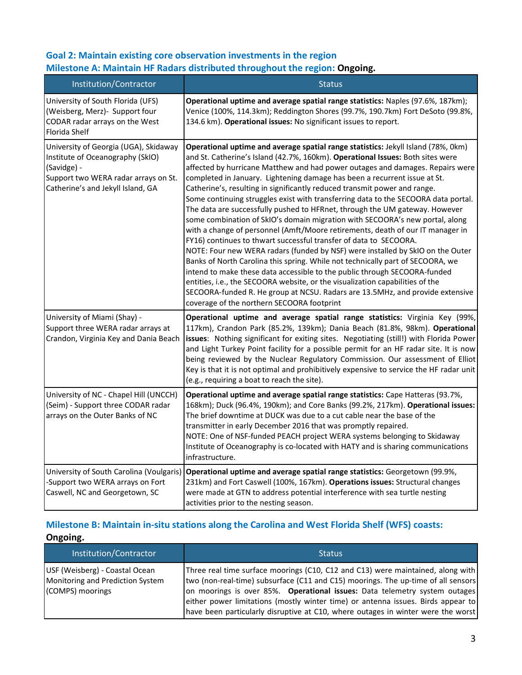## **Goal 2: Maintain existing core observation investments in the region Milestone A: Maintain HF Radars distributed throughout the region: Ongoing.**

| Institution/Contractor                                                                                                                                                | <b>Status</b>                                                                                                                                                                                                                                                                                                                                                                                                                                                                                                                                                                                                                                                                                                                                                                                                                                                                                                                                                                                                                                                                                                                                                                                                                                                                               |
|-----------------------------------------------------------------------------------------------------------------------------------------------------------------------|---------------------------------------------------------------------------------------------------------------------------------------------------------------------------------------------------------------------------------------------------------------------------------------------------------------------------------------------------------------------------------------------------------------------------------------------------------------------------------------------------------------------------------------------------------------------------------------------------------------------------------------------------------------------------------------------------------------------------------------------------------------------------------------------------------------------------------------------------------------------------------------------------------------------------------------------------------------------------------------------------------------------------------------------------------------------------------------------------------------------------------------------------------------------------------------------------------------------------------------------------------------------------------------------|
| University of South Florida (UFS)<br>(Weisberg, Merz)- Support four<br>CODAR radar arrays on the West<br>Florida Shelf                                                | Operational uptime and average spatial range statistics: Naples (97.6%, 187km);<br>Venice (100%, 114.3km); Reddington Shores (99.7%, 190.7km) Fort DeSoto (99.8%,<br>134.6 km). Operational issues: No significant issues to report.                                                                                                                                                                                                                                                                                                                                                                                                                                                                                                                                                                                                                                                                                                                                                                                                                                                                                                                                                                                                                                                        |
| University of Georgia (UGA), Skidaway<br>Institute of Oceanography (SkIO)<br>(Savidge) -<br>Support two WERA radar arrays on St.<br>Catherine's and Jekyll Island, GA | Operational uptime and average spatial range statistics: Jekyll Island (78%, 0km)<br>and St. Catherine's Island (42.7%, 160km). Operational Issues: Both sites were<br>affected by hurricane Matthew and had power outages and damages. Repairs were<br>completed in January. Lightening damage has been a recurrent issue at St.<br>Catherine's, resulting in significantly reduced transmit power and range.<br>Some continuing struggles exist with transferring data to the SECOORA data portal.<br>The data are successfully pushed to HFRnet, through the UM gateway. However<br>some combination of SkIO's domain migration with SECOORA's new portal, along<br>with a change of personnel (Amft/Moore retirements, death of our IT manager in<br>FY16) continues to thwart successful transfer of data to SECOORA.<br>NOTE: Four new WERA radars (funded by NSF) were installed by SkIO on the Outer<br>Banks of North Carolina this spring. While not technically part of SECOORA, we<br>intend to make these data accessible to the public through SECOORA-funded<br>entities, i.e., the SECOORA website, or the visualization capabilities of the<br>SECOORA-funded R. He group at NCSU. Radars are 13.5MHz, and provide extensive<br>coverage of the northern SECOORA footprint |
| University of Miami (Shay) -<br>Support three WERA radar arrays at<br>Crandon, Virginia Key and Dania Beach                                                           | Operational uptime and average spatial range statistics: Virginia Key (99%,<br>117km), Crandon Park (85.2%, 139km); Dania Beach (81.8%, 98km). Operational<br>issues: Nothing significant for exiting sites. Negotiating (still!) with Florida Power<br>and Light Turkey Point facility for a possible permit for an HF radar site. It is now<br>being reviewed by the Nuclear Regulatory Commission. Our assessment of Elliot<br>Key is that it is not optimal and prohibitively expensive to service the HF radar unit<br>(e.g., requiring a boat to reach the site).                                                                                                                                                                                                                                                                                                                                                                                                                                                                                                                                                                                                                                                                                                                     |
| University of NC - Chapel Hill (UNCCH)<br>(Seim) - Support three CODAR radar<br>arrays on the Outer Banks of NC                                                       | Operational uptime and average spatial range statistics: Cape Hatteras (93.7%,<br>168km); Duck (96.4%, 190km); and Core Banks (99.2%, 217km). Operational issues:<br>The brief downtime at DUCK was due to a cut cable near the base of the<br>transmitter in early December 2016 that was promptly repaired.<br>NOTE: One of NSF-funded PEACH project WERA systems belonging to Skidaway<br>Institute of Oceanography is co-located with HATY and is sharing communications<br>infrastructure.                                                                                                                                                                                                                                                                                                                                                                                                                                                                                                                                                                                                                                                                                                                                                                                             |
| University of South Carolina (Voulgaris)<br>-Support two WERA arrays on Fort<br>Caswell, NC and Georgetown, SC                                                        | Operational uptime and average spatial range statistics: Georgetown (99.9%,<br>231km) and Fort Caswell (100%, 167km). Operations issues: Structural changes<br>were made at GTN to address potential interference with sea turtle nesting<br>activities prior to the nesting season.                                                                                                                                                                                                                                                                                                                                                                                                                                                                                                                                                                                                                                                                                                                                                                                                                                                                                                                                                                                                        |

# **Milestone B: Maintain in-situ stations along the Carolina and West Florida Shelf (WFS) coasts: Ongoing.**

| Institution/Contractor                                                                 | <b>Status</b>                                                                                                                                                                                                                                                                                                                                                                                                              |
|----------------------------------------------------------------------------------------|----------------------------------------------------------------------------------------------------------------------------------------------------------------------------------------------------------------------------------------------------------------------------------------------------------------------------------------------------------------------------------------------------------------------------|
| USF (Weisberg) - Coastal Ocean<br>Monitoring and Prediction System<br>(COMPS) moorings | Three real time surface moorings (C10, C12 and C13) were maintained, along with<br>two (non-real-time) subsurface (C11 and C15) moorings. The up-time of all sensors<br>on moorings is over 85%. Operational issues: Data telemetry system outages<br>either power limitations (mostly winter time) or antenna issues. Birds appear to<br>have been particularly disruptive at C10, where outages in winter were the worst |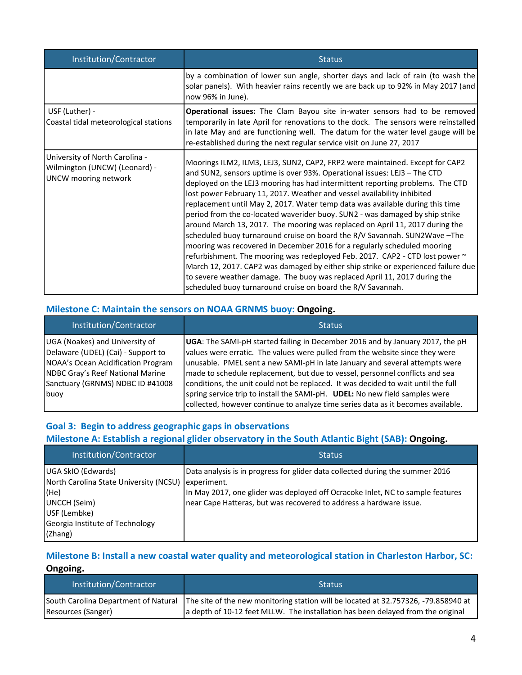| Institution/Contractor                                                                         | <b>Status</b>                                                                                                                                                                                                                                                                                                                                                                                                                                                                                                                                                                                                                                                                                                                                                                                                                                                                                                                                                                                                                                    |
|------------------------------------------------------------------------------------------------|--------------------------------------------------------------------------------------------------------------------------------------------------------------------------------------------------------------------------------------------------------------------------------------------------------------------------------------------------------------------------------------------------------------------------------------------------------------------------------------------------------------------------------------------------------------------------------------------------------------------------------------------------------------------------------------------------------------------------------------------------------------------------------------------------------------------------------------------------------------------------------------------------------------------------------------------------------------------------------------------------------------------------------------------------|
|                                                                                                | by a combination of lower sun angle, shorter days and lack of rain (to wash the<br>solar panels). With heavier rains recently we are back up to 92% in May 2017 (and<br>now 96% in June).                                                                                                                                                                                                                                                                                                                                                                                                                                                                                                                                                                                                                                                                                                                                                                                                                                                        |
| USF (Luther) -<br>Coastal tidal meteorological stations                                        | Operational issues: The Clam Bayou site in-water sensors had to be removed<br>temporarily in late April for renovations to the dock. The sensors were reinstalled<br>in late May and are functioning well. The datum for the water level gauge will be<br>re-established during the next regular service visit on June 27, 2017                                                                                                                                                                                                                                                                                                                                                                                                                                                                                                                                                                                                                                                                                                                  |
| University of North Carolina -<br>Wilmington (UNCW) (Leonard) -<br><b>UNCW</b> mooring network | Moorings ILM2, ILM3, LEJ3, SUN2, CAP2, FRP2 were maintained. Except for CAP2<br>and SUN2, sensors uptime is over 93%. Operational issues: LEJ3 - The CTD<br>deployed on the LEJ3 mooring has had intermittent reporting problems. The CTD<br>lost power February 11, 2017. Weather and vessel availability inhibited<br>replacement until May 2, 2017. Water temp data was available during this time<br>period from the co-located waverider buoy. SUN2 - was damaged by ship strike<br>around March 13, 2017. The mooring was replaced on April 11, 2017 during the<br>scheduled buoy turnaround cruise on board the R/V Savannah. SUN2Wave - The<br>mooring was recovered in December 2016 for a regularly scheduled mooring<br>refurbishment. The mooring was redeployed Feb. 2017. CAP2 - CTD lost power ~<br>March 12, 2017. CAP2 was damaged by either ship strike or experienced failure due<br>to severe weather damage. The buoy was replaced April 11, 2017 during the<br>scheduled buoy turnaround cruise on board the R/V Savannah. |

### **Milestone C: Maintain the sensors on NOAA GRNMS buoy: Ongoing.**

| Institution/Contractor                                                                                                                                                             | <b>Status</b>                                                                                                                                                                                                                                                                                                                                                                                                            |
|------------------------------------------------------------------------------------------------------------------------------------------------------------------------------------|--------------------------------------------------------------------------------------------------------------------------------------------------------------------------------------------------------------------------------------------------------------------------------------------------------------------------------------------------------------------------------------------------------------------------|
| UGA (Noakes) and University of<br>Delaware (UDEL) (Cai) - Support to<br>NOAA's Ocean Acidification Program<br>NDBC Gray's Reef National Marine<br>Sanctuary (GRNMS) NDBC ID #41008 | <b>UGA:</b> The SAMI-pH started failing in December 2016 and by January 2017, the pH<br>values were erratic. The values were pulled from the website since they were<br>unusable. PMEL sent a new SAMI-pH in late January and several attempts were<br>made to schedule replacement, but due to vessel, personnel conflicts and sea<br>conditions, the unit could not be replaced. It was decided to wait until the full |
| buoy                                                                                                                                                                               | spring service trip to install the SAMI-pH. UDEL: No new field samples were<br>collected, however continue to analyze time series data as it becomes available.                                                                                                                                                                                                                                                          |

## **Goal 3: Begin to address geographic gaps in observations Milestone A: Establish a regional glider observatory in the South Atlantic Bight (SAB): Ongoing.**

| Institution/Contractor                                                                                                                             | <b>Status</b>                                                                                                                                                                                                                                        |
|----------------------------------------------------------------------------------------------------------------------------------------------------|------------------------------------------------------------------------------------------------------------------------------------------------------------------------------------------------------------------------------------------------------|
| UGA SkIO (Edwards)<br>North Carolina State University (NCSU)<br>(He)<br>UNCCH (Seim)<br>USF (Lembke)<br>Georgia Institute of Technology<br>(Zhang) | Data analysis is in progress for glider data collected during the summer 2016<br>experiment.<br>In May 2017, one glider was deployed off Ocracoke Inlet, NC to sample features<br>near Cape Hatteras, but was recovered to address a hardware issue. |

## **Milestone B: Install a new coastal water quality and meteorological station in Charleston Harbor, SC: Ongoing.**

| Institution/Contractor | <b>Status</b>                                                                                                                                                                                                |
|------------------------|--------------------------------------------------------------------------------------------------------------------------------------------------------------------------------------------------------------|
| Resources (Sanger)     | South Carolina Department of Natural   The site of the new monitoring station will be located at 32.757326, -79.858940 at<br>a depth of 10-12 feet MLLW. The installation has been delayed from the original |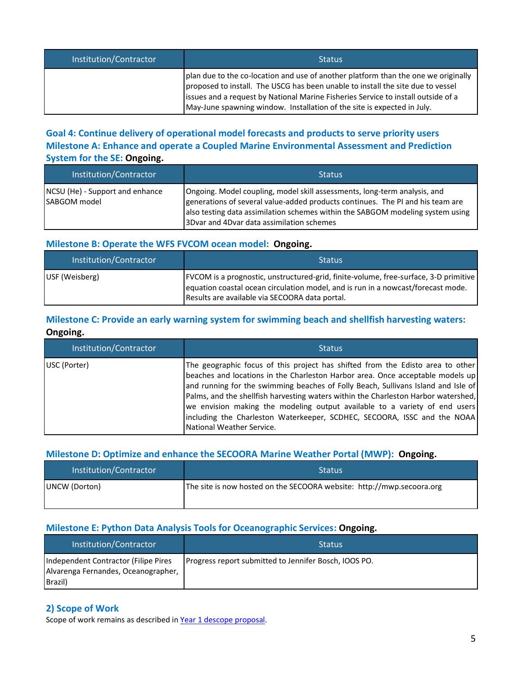| Institution/Contractor | <b>Status</b>                                                                                                                                                                                                                                                                                                                         |
|------------------------|---------------------------------------------------------------------------------------------------------------------------------------------------------------------------------------------------------------------------------------------------------------------------------------------------------------------------------------|
|                        | plan due to the co-location and use of another platform than the one we originally<br>proposed to install. The USCG has been unable to install the site due to vessel<br>Issues and a request by National Marine Fisheries Service to install outside of a<br>May-June spawning window. Installation of the site is expected in July. |

## **Goal 4: Continue delivery of operational model forecasts and products to serve priority users Milestone A: Enhance and operate a Coupled Marine Environmental Assessment and Prediction System for the SE: Ongoing.**

| Institution/Contractor                          | <b>Status</b>                                                                                                                                                                                                                                                                              |
|-------------------------------------------------|--------------------------------------------------------------------------------------------------------------------------------------------------------------------------------------------------------------------------------------------------------------------------------------------|
| NCSU (He) - Support and enhance<br>SABGOM model | Ongoing. Model coupling, model skill assessments, long-term analysis, and<br>generations of several value-added products continues. The PI and his team are<br>also testing data assimilation schemes within the SABGOM modeling system using<br>3Dvar and 4Dvar data assimilation schemes |

#### **Milestone B: Operate the WFS FVCOM ocean model: Ongoing.**

| Institution/Contractor | <b>Status</b>                                                                                                                                                                                                                |
|------------------------|------------------------------------------------------------------------------------------------------------------------------------------------------------------------------------------------------------------------------|
| USF (Weisberg)         | [FVCOM is a prognostic, unstructured-grid, finite-volume, free-surface, 3-D primitive<br>lequation coastal ocean circulation model, and is run in a nowcast/forecast mode.<br>Results are available via SECOORA data portal. |

## **Milestone C: Provide an early warning system for swimming beach and shellfish harvesting waters: Ongoing.**

| Institution/Contractor | <b>Status</b>                                                                                                                                                                                                                                                                                                                                                                                                                                                                                                                      |
|------------------------|------------------------------------------------------------------------------------------------------------------------------------------------------------------------------------------------------------------------------------------------------------------------------------------------------------------------------------------------------------------------------------------------------------------------------------------------------------------------------------------------------------------------------------|
| USC (Porter)           | The geographic focus of this project has shifted from the Edisto area to other<br>beaches and locations in the Charleston Harbor area. Once acceptable models up<br>and running for the swimming beaches of Folly Beach, Sullivans Island and Isle of<br>Palms, and the shellfish harvesting waters within the Charleston Harbor watershed,<br>we envision making the modeling output available to a variety of end users<br>including the Charleston Waterkeeper, SCDHEC, SECOORA, ISSC and the NOAA<br>National Weather Service. |

## **Milestone D: Optimize and enhance the SECOORA Marine Weather Portal (MWP): Ongoing.**

| Institution/Contractor | <b>Status</b>                                                         |
|------------------------|-----------------------------------------------------------------------|
| UNCW (Dorton)          | The site is now hosted on the SECOORA website: http://mwp.secoora.org |

## **Milestone E: Python Data Analysis Tools for Oceanographic Services: Ongoing.**

| Institution/Contractor                                                                 | <b>Status</b>                                         |
|----------------------------------------------------------------------------------------|-------------------------------------------------------|
| Independent Contractor (Filipe Pires<br>Alvarenga Fernandes, Oceanographer,<br>Brazil) | Progress report submitted to Jennifer Bosch, IOOS PO. |

## **2) Scope of Work**

Scope of work remains as described in Year 1 descope [proposal.](http://secoora.org/webfm_send/1862)